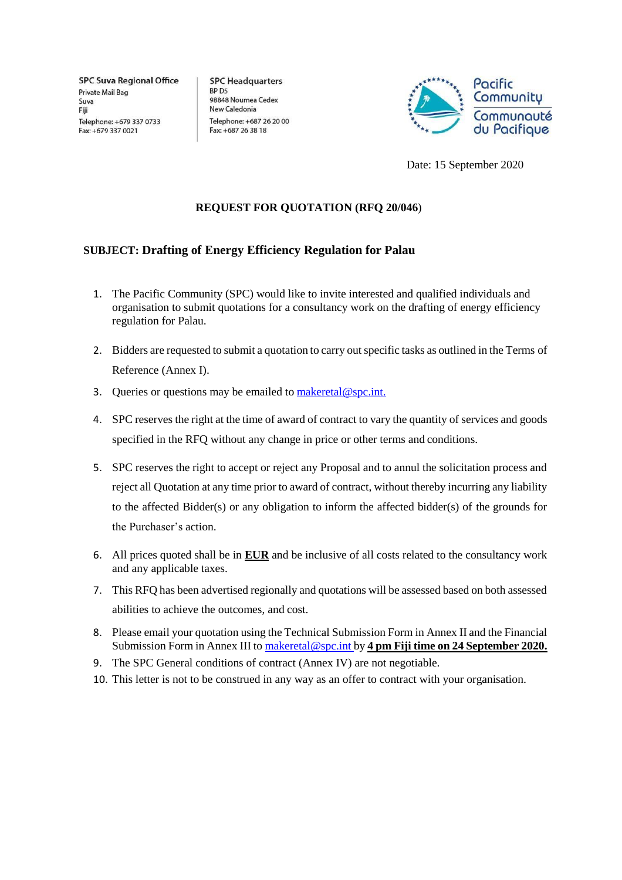**SPC Suva Regional Office** Private Mail Bag Suva Fiii Telephone: +679 337 0733 Fax: +679 337 0021

**SPC Headquarters** BP D5 98848 Noumea Cedex New Caledonia Telephone: +687 26 20 00 Fax: +687 26 38 18



Date: 15 September 2020

# **REQUEST FOR QUOTATION (RFQ 20/046**)

# **SUBJECT: Drafting of Energy Efficiency Regulation for Palau**

- 1. The Pacific Community (SPC) would like to invite interested and qualified individuals and organisation to submit quotations for a consultancy work on the drafting of energy efficiency regulation for Palau.
- 2. Bidders are requested to submit a quotation to carry out specific tasks as outlined in the Terms of Reference (Annex I).
- 3. Queries or questions may be emailed to  $\text{makertal@spc.int.}$
- 4. SPC reserves the right at the time of award of contract to vary the quantity of services and goods specified in the RFQ without any change in price or other terms and conditions.
- 5. SPC reserves the right to accept or reject any Proposal and to annul the solicitation process and reject all Quotation at any time prior to award of contract, without thereby incurring any liability to the affected Bidder(s) or any obligation to inform the affected bidder(s) of the grounds for the Purchaser's action.
- 6. All prices quoted shall be in **EUR** and be inclusive of all costs related to the consultancy work and any applicable taxes.
- 7. This RFQ has been advertised regionally and quotations will be assessed based on both assessed abilities to achieve the outcomes, and cost.
- 8. Please email your quotation using the Technical Submission Form in Annex II and the Financial Submission Form in Annex III to [makeretal@spc.int b](mailto:makeretal@spc.int)y 4 pm Fiji time on 24 September 2020.
- 9. The SPC General conditions of contract (Annex IV) are not negotiable.
- 10. This letter is not to be construed in any way as an offer to contract with your organisation.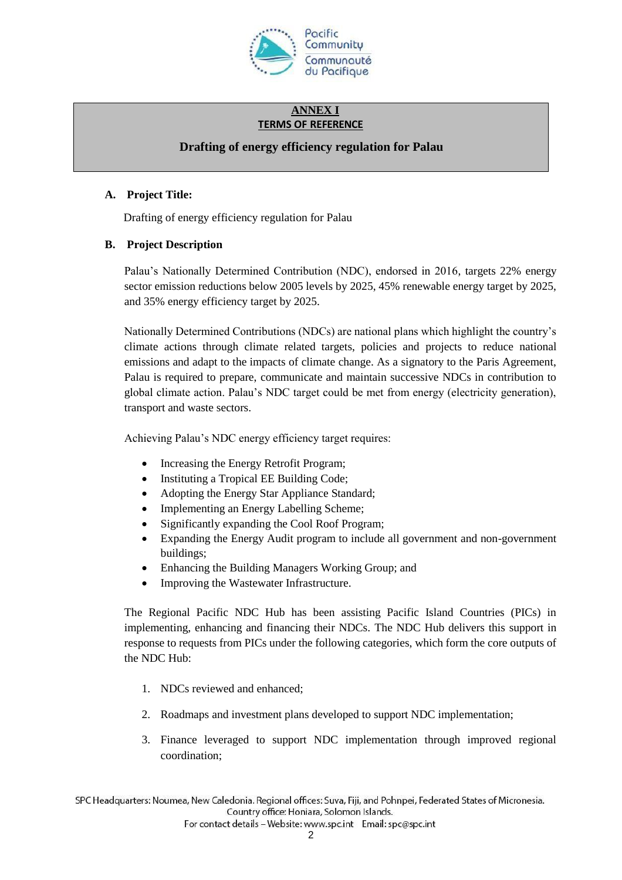

## **ANNEX I TERMS OF REFERENCE**

# **Drafting of energy efficiency regulation for Palau**

## **A. Project Title:**

Drafting of energy efficiency regulation for Palau

# **B. Project Description**

Palau's Nationally Determined Contribution (NDC), endorsed in 2016, targets 22% energy sector emission reductions below 2005 levels by 2025, 45% renewable energy target by 2025, and 35% energy efficiency target by 2025.

Nationally Determined Contributions (NDCs) are national plans which highlight the country's climate actions through climate related targets, policies and projects to reduce national emissions and adapt to the impacts of climate change. As a signatory to the Paris Agreement, Palau is required to prepare, communicate and maintain successive NDCs in contribution to global climate action. Palau's NDC target could be met from energy (electricity generation), transport and waste sectors.

Achieving Palau's NDC energy efficiency target requires:

- Increasing the Energy Retrofit Program;
- Instituting a Tropical EE Building Code;
- Adopting the Energy Star Appliance Standard;
- Implementing an Energy Labelling Scheme;
- Significantly expanding the Cool Roof Program;
- Expanding the Energy Audit program to include all government and non-government buildings;
- Enhancing the Building Managers Working Group; and
- Improving the Wastewater Infrastructure.

The Regional Pacific NDC Hub has been assisting Pacific Island Countries (PICs) in implementing, enhancing and financing their NDCs. The NDC Hub delivers this support in response to requests from PICs under the following categories, which form the core outputs of the NDC Hub:

- 1. NDCs reviewed and enhanced;
- 2. Roadmaps and investment plans developed to support NDC implementation;
- 3. Finance leveraged to support NDC implementation through improved regional coordination;

SPC Headquarters: Noumea, New Caledonia. Regional offices: Suva, Fiji, and Pohnpei, Federated States of Micronesia. Country office: Honiara, Solomon Islands.

For contact details - Website: www.spc.int Email: spc@spc.int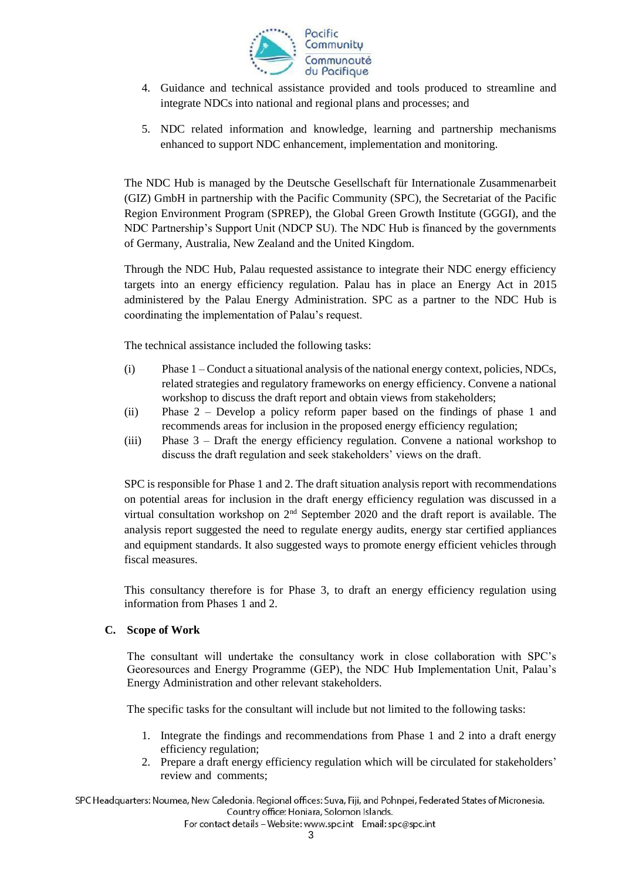

- 4. Guidance and technical assistance provided and tools produced to streamline and integrate NDCs into national and regional plans and processes; and
- 5. NDC related information and knowledge, learning and partnership mechanisms enhanced to support NDC enhancement, implementation and monitoring.

The NDC Hub is managed by the Deutsche Gesellschaft für Internationale Zusammenarbeit (GIZ) GmbH in partnership with the Pacific Community (SPC), the Secretariat of the Pacific Region Environment Program (SPREP), the Global Green Growth Institute (GGGI), and the NDC Partnership's Support Unit (NDCP SU). The NDC Hub is financed by the governments of Germany, Australia, New Zealand and the United Kingdom.

Through the NDC Hub, Palau requested assistance to integrate their NDC energy efficiency targets into an energy efficiency regulation. Palau has in place an Energy Act in 2015 administered by the Palau Energy Administration. SPC as a partner to the NDC Hub is coordinating the implementation of Palau's request.

The technical assistance included the following tasks:

- (i) Phase 1 Conduct a situational analysis of the national energy context, policies, NDCs, related strategies and regulatory frameworks on energy efficiency. Convene a national workshop to discuss the draft report and obtain views from stakeholders;
- (ii) Phase 2 Develop a policy reform paper based on the findings of phase 1 and recommends areas for inclusion in the proposed energy efficiency regulation;
- (iii) Phase 3 Draft the energy efficiency regulation. Convene a national workshop to discuss the draft regulation and seek stakeholders' views on the draft.

SPC is responsible for Phase 1 and 2. The draft situation analysis report with recommendations on potential areas for inclusion in the draft energy efficiency regulation was discussed in a virtual consultation workshop on  $2<sup>nd</sup>$  September 2020 and the draft report is available. The analysis report suggested the need to regulate energy audits, energy star certified appliances and equipment standards. It also suggested ways to promote energy efficient vehicles through fiscal measures.

This consultancy therefore is for Phase 3, to draft an energy efficiency regulation using information from Phases 1 and 2.

# **C. Scope of Work**

The consultant will undertake the consultancy work in close collaboration with SPC's Georesources and Energy Programme (GEP), the NDC Hub Implementation Unit, Palau's Energy Administration and other relevant stakeholders.

The specific tasks for the consultant will include but not limited to the following tasks:

- 1. Integrate the findings and recommendations from Phase 1 and 2 into a draft energy efficiency regulation;
- 2. Prepare a draft energy efficiency regulation which will be circulated for stakeholders' review and comments;

SPC Headquarters: Noumea, New Caledonia. Regional offices: Suva, Fiji, and Pohnpei, Federated States of Micronesia. Country office: Honiara, Solomon Islands.

For contact details - Website: www.spc.int Email: spc@spc.int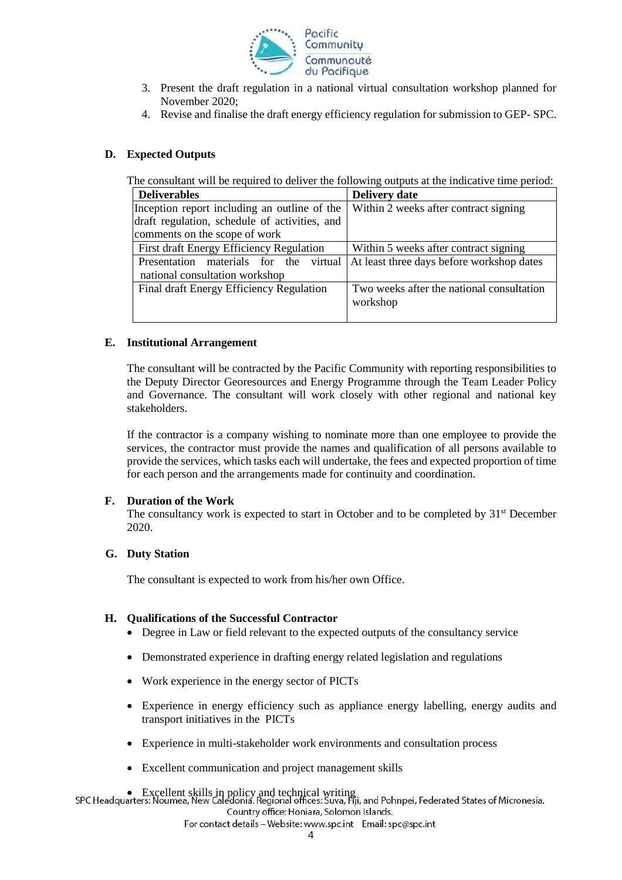

- 3. Present the draft regulation in a national virtual consultation workshop planned for November 2020;
- 4. Revise and finalise the draft energy efficiency regulation for submission to GEP- SPC.

# **D. Expected Outputs**

The consultant will be required to deliver the following outputs at the indicative time period:

| <b>Deliverables</b>                           | <b>Delivery date</b>                      |
|-----------------------------------------------|-------------------------------------------|
| Inception report including an outline of the  | Within 2 weeks after contract signing     |
| draft regulation, schedule of activities, and |                                           |
| comments on the scope of work                 |                                           |
| First draft Energy Efficiency Regulation      | Within 5 weeks after contract signing     |
| Presentation materials for the<br>virtual     | At least three days before workshop dates |
| national consultation workshop                |                                           |
| Final draft Energy Efficiency Regulation      | Two weeks after the national consultation |
|                                               | workshop                                  |
|                                               |                                           |

## **E. Institutional Arrangement**

The consultant will be contracted by the Pacific Community with reporting responsibilities to the Deputy Director Georesources and Energy Programme through the Team Leader Policy and Governance. The consultant will work closely with other regional and national key stakeholders.

If the contractor is a company wishing to nominate more than one employee to provide the services, the contractor must provide the names and qualification of all persons available to provide the services, which tasks each will undertake, the fees and expected proportion of time for each person and the arrangements made for continuity and coordination.

## **F. Duration of the Work**

The consultancy work is expected to start in October and to be completed by  $31<sup>st</sup>$  December 2020.

## **G. Duty Station**

The consultant is expected to work from his/her own Office.

## **H. Qualifications of the Successful Contractor**

- Degree in Law or field relevant to the expected outputs of the consultancy service
- Demonstrated experience in drafting energy related legislation and regulations
- Work experience in the energy sector of PICTs
- Experience in energy efficiency such as appliance energy labelling, energy audits and transport initiatives in the PICTs
- Experience in multi-stakeholder work environments and consultation process
- Excellent communication and project management skills

• Excellent skills in policy and technical writing<br>SPC Headquarters: Noumea, New Caledonia. Regional offices: Suva, Fji, and Pohnpei, Federated States of Micronesia. Country office: Honiara, Solomon Islands.

For contact details - Website: www.spc.int Email: spc@spc.int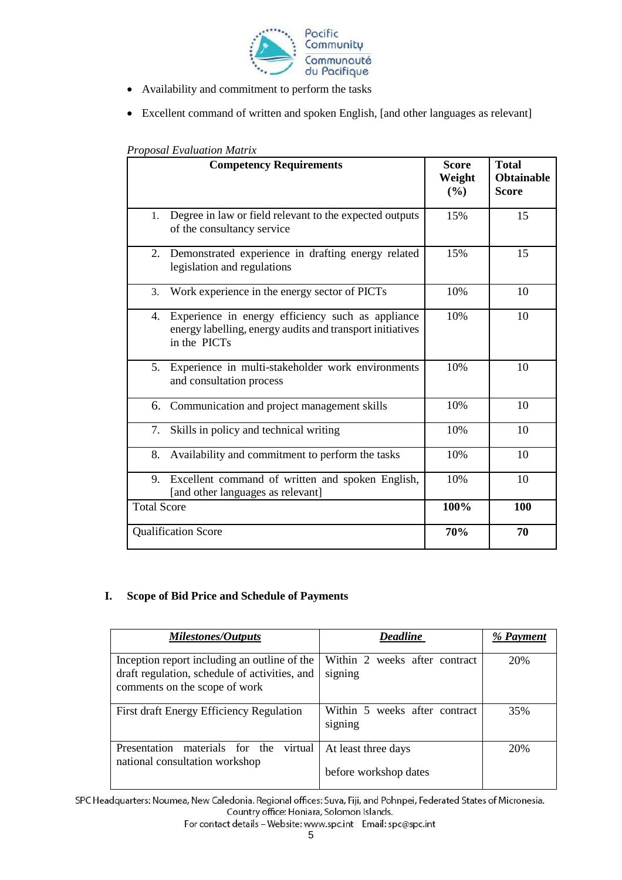

- Availability and commitment to perform the tasks
- Excellent command of written and spoken English, [and other languages as relevant]

|                    | <b>Competency Requirements</b>                                                                                                 | <b>Score</b><br>Weight<br>(%) | <b>Total</b><br><b>Obtainable</b><br><b>Score</b> |
|--------------------|--------------------------------------------------------------------------------------------------------------------------------|-------------------------------|---------------------------------------------------|
| 1.                 | Degree in law or field relevant to the expected outputs<br>of the consultancy service                                          | 15%                           | 15                                                |
| 2.                 | Demonstrated experience in drafting energy related<br>legislation and regulations                                              | 15%                           | 15                                                |
| 3.                 | Work experience in the energy sector of PICTs                                                                                  | 10%                           | 10                                                |
| 4.                 | Experience in energy efficiency such as appliance<br>energy labelling, energy audits and transport initiatives<br>in the PICTs | 10%                           | 10                                                |
| 5.                 | Experience in multi-stakeholder work environments<br>and consultation process                                                  | 10%                           | 10                                                |
|                    | 6. Communication and project management skills                                                                                 | 10%                           | 10                                                |
| 7.                 | Skills in policy and technical writing                                                                                         | 10%                           | 10                                                |
| 8.                 | Availability and commitment to perform the tasks                                                                               | 10%                           | 10                                                |
| 9.                 | Excellent command of written and spoken English,<br>[and other languages as relevant]                                          | 10%                           | 10                                                |
| <b>Total Score</b> |                                                                                                                                | 100%                          | 100                                               |
|                    | <b>Qualification Score</b>                                                                                                     | 70%                           | 70                                                |

# *Proposal Evaluation Matrix*

# **I. Scope of Bid Price and Schedule of Payments**

| <b>Milestones/Outputs</b>                                                                                                      | <b>Deadline</b>                              | % Payment |
|--------------------------------------------------------------------------------------------------------------------------------|----------------------------------------------|-----------|
| Inception report including an outline of the<br>draft regulation, schedule of activities, and<br>comments on the scope of work | Within 2 weeks after contract<br>signing     | 20%       |
| First draft Energy Efficiency Regulation                                                                                       | Within 5 weeks after contract<br>signing     | 35%       |
| materials for the<br>Presentation<br>virtual<br>national consultation workshop                                                 | At least three days<br>before workshop dates | 20%       |

SPC Headquarters: Noumea, New Caledonia. Regional offices: Suva, Fiji, and Pohnpei, Federated States of Micronesia. Country office: Honiara, Solomon Islands.

For contact details - Website: www.spc.int Email: spc@spc.int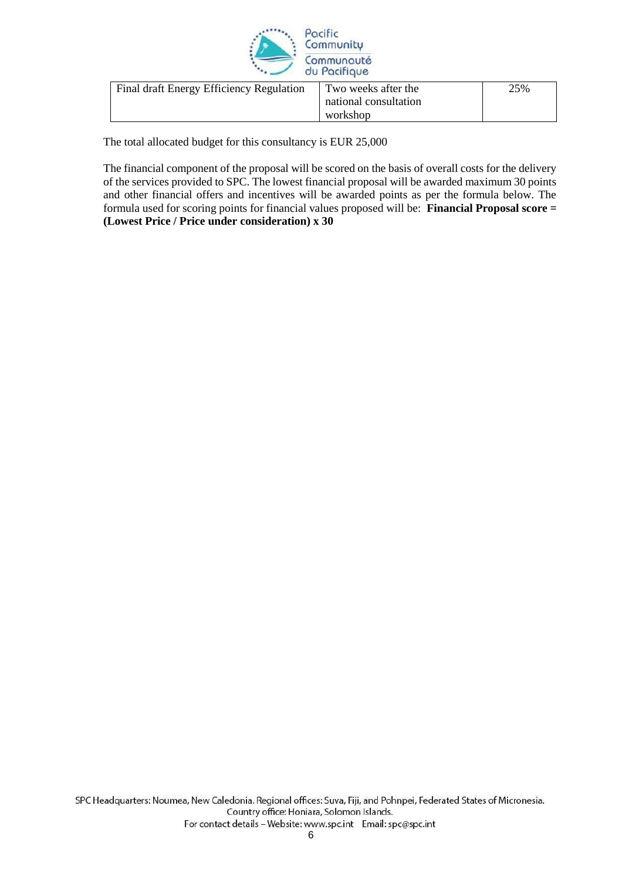

| Final draft Energy Efficiency Regulation | Two weeks after the   | 25% |
|------------------------------------------|-----------------------|-----|
|                                          | national consultation |     |
|                                          | workshop              |     |

The total allocated budget for this consultancy is EUR 25,000

The financial component of the proposal will be scored on the basis of overall costs for the delivery of the services provided to SPC. The lowest financial proposal will be awarded maximum 30 points and other financial offers and incentives will be awarded points as per the formula below. The formula used for scoring points for financial values proposed will be: **Financial Proposal score = (Lowest Price / Price under consideration) x 30**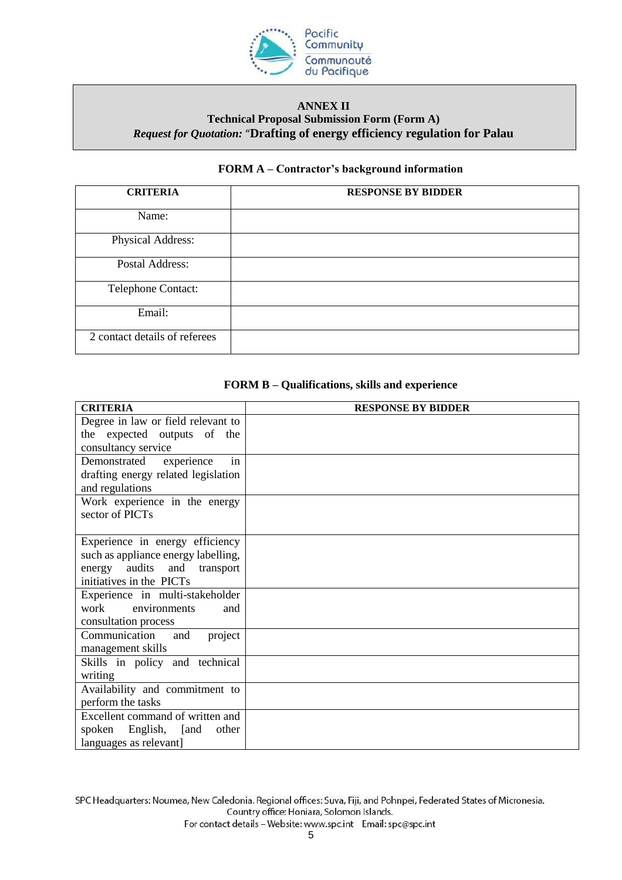

# **ANNEX II Technical Proposal Submission Form (Form A)** *Request for Quotation:* "**Drafting of energy efficiency regulation for Palau**

# **FORM A – Contractor's background information**

| <b>CRITERIA</b>               | <b>RESPONSE BY BIDDER</b> |
|-------------------------------|---------------------------|
| Name:                         |                           |
| Physical Address:             |                           |
| Postal Address:               |                           |
| Telephone Contact:            |                           |
| Email:                        |                           |
| 2 contact details of referees |                           |

# **FORM B – Qualifications, skills and experience**

| <b>CRITERIA</b>                     | <b>RESPONSE BY BIDDER</b> |
|-------------------------------------|---------------------------|
| Degree in law or field relevant to  |                           |
| the expected outputs of the         |                           |
| consultancy service                 |                           |
| in<br>experience<br>Demonstrated    |                           |
| drafting energy related legislation |                           |
| and regulations                     |                           |
| Work experience in the energy       |                           |
| sector of PICTs                     |                           |
|                                     |                           |
| Experience in energy efficiency     |                           |
| such as appliance energy labelling, |                           |
| audits and<br>energy<br>transport   |                           |
| initiatives in the PICTs            |                           |
| Experience in multi-stakeholder     |                           |
| work<br>environments<br>and         |                           |
| consultation process                |                           |
| Communication<br>and<br>project     |                           |
| management skills                   |                           |
| Skills in policy and technical      |                           |
| writing                             |                           |
| Availability and commitment to      |                           |
| perform the tasks                   |                           |
| Excellent command of written and    |                           |
| spoken English, [and<br>other       |                           |
| languages as relevant]              |                           |

SPC Headquarters: Noumea, New Caledonia. Regional offices: Suva, Fiji, and Pohnpei, Federated States of Micronesia. Country office: Honiara, Solomon Islands.

For contact details - Website: www.spc.int Email: spc@spc.int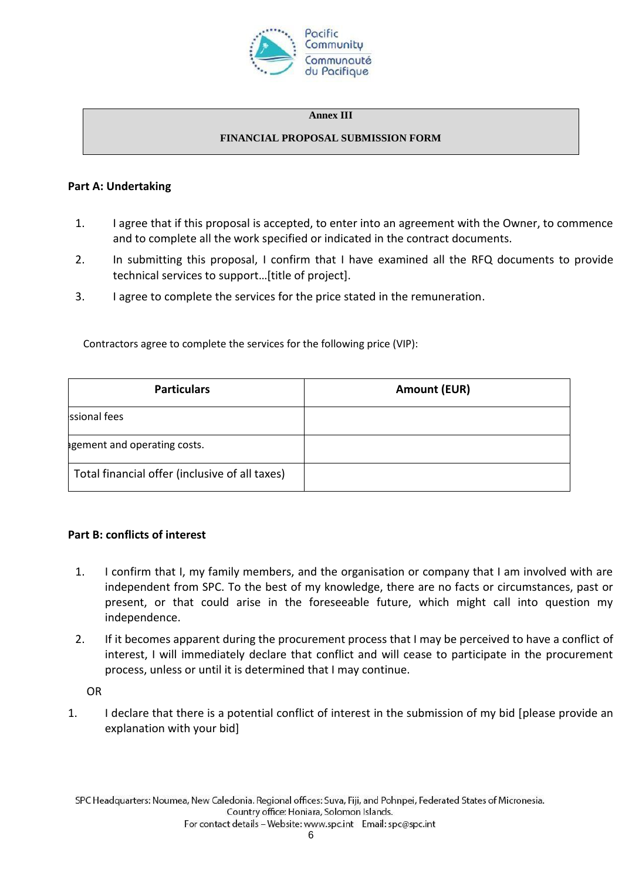

## **Annex III**

## **FINANCIAL PROPOSAL SUBMISSION FORM**

## **Part A: Undertaking**

- 1. I agree that if this proposal is accepted, to enter into an agreement with the Owner, to commence and to complete all the work specified or indicated in the contract documents.
- 2. In submitting this proposal, I confirm that I have examined all the RFQ documents to provide technical services to support…[title of project].
- 3. I agree to complete the services for the price stated in the remuneration.

Contractors agree to complete the services for the following price (VIP):

| <b>Particulars</b>                             | <b>Amount (EUR)</b> |
|------------------------------------------------|---------------------|
| ssional fees                                   |                     |
| agement and operating costs.                   |                     |
| Total financial offer (inclusive of all taxes) |                     |

# **Part B: conflicts of interest**

- 1. I confirm that I, my family members, and the organisation or company that I am involved with are independent from SPC. To the best of my knowledge, there are no facts or circumstances, past or present, or that could arise in the foreseeable future, which might call into question my independence.
- 2. If it becomes apparent during the procurement process that I may be perceived to have a conflict of interest, I will immediately declare that conflict and will cease to participate in the procurement process, unless or until it is determined that I may continue.

OR

1. I declare that there is a potential conflict of interest in the submission of my bid [please provide an explanation with your bid]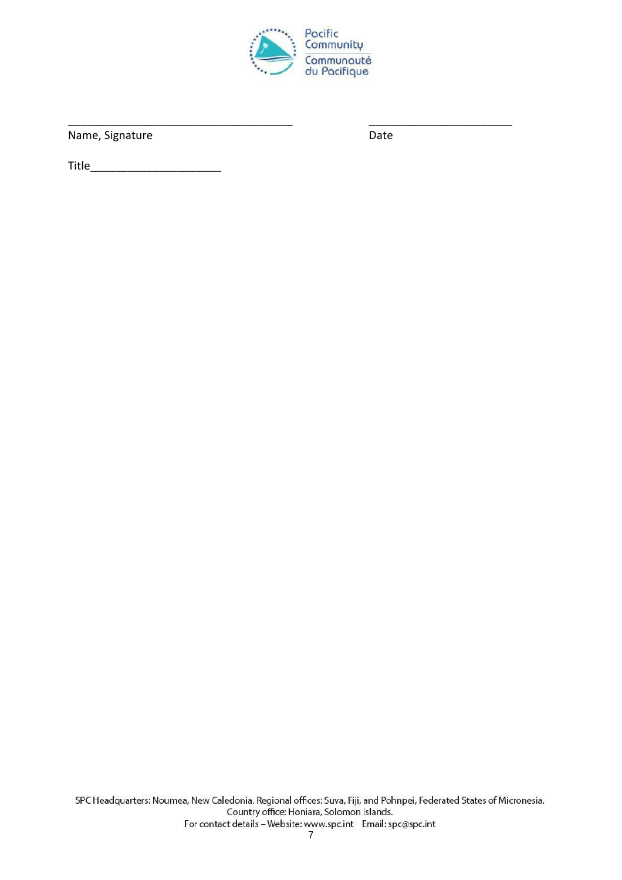

Name, Signature

Date

**Title Example 19**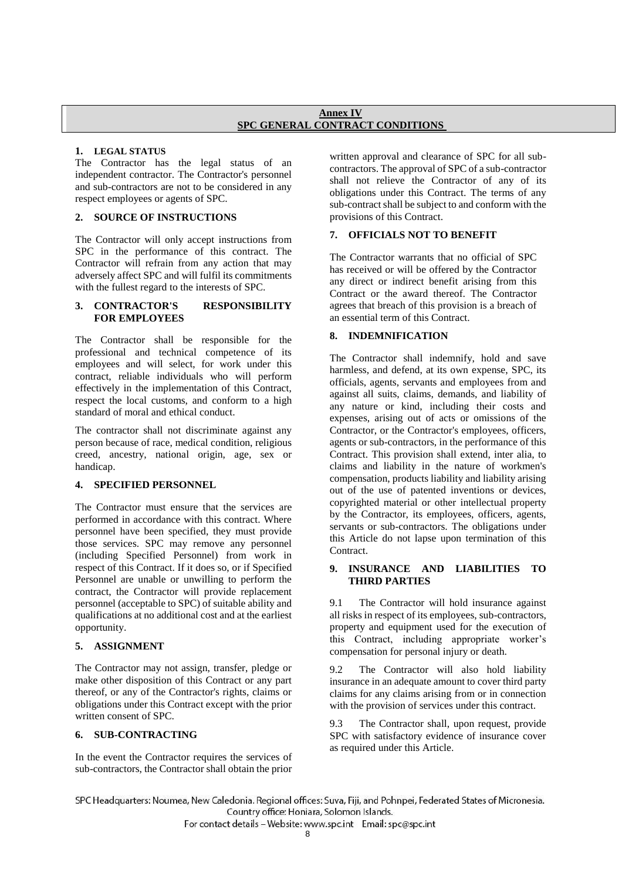#### **Annex IV SPC GENERAL CONTRACT CONDITIONS**

### **1. LEGAL STATUS**

The Contractor has the legal status of an independent contractor. The Contractor's personnel and sub-contractors are not to be considered in any respect employees or agents of SPC.

### **2. SOURCE OF INSTRUCTIONS**

The Contractor will only accept instructions from SPC in the performance of this contract. The Contractor will refrain from any action that may adversely affect SPC and will fulfil its commitments with the fullest regard to the interests of SPC.

#### **3. CONTRACTOR'S RESPONSIBILITY FOR EMPLOYEES**

The Contractor shall be responsible for the professional and technical competence of its employees and will select, for work under this contract, reliable individuals who will perform effectively in the implementation of this Contract, respect the local customs, and conform to a high standard of moral and ethical conduct.

The contractor shall not discriminate against any person because of race, medical condition, religious creed, ancestry, national origin, age, sex or handicap.

### **4. SPECIFIED PERSONNEL**

The Contractor must ensure that the services are performed in accordance with this contract. Where personnel have been specified, they must provide those services. SPC may remove any personnel (including Specified Personnel) from work in respect of this Contract. If it does so, or if Specified Personnel are unable or unwilling to perform the contract, the Contractor will provide replacement personnel (acceptable to SPC) of suitable ability and qualifications at no additional cost and at the earliest opportunity.

### **5. ASSIGNMENT**

The Contractor may not assign, transfer, pledge or make other disposition of this Contract or any part thereof, or any of the Contractor's rights, claims or obligations under this Contract except with the prior written consent of SPC.

### **6. SUB-CONTRACTING**

In the event the Contractor requires the services of sub-contractors, the Contractor shall obtain the prior written approval and clearance of SPC for all subcontractors. The approval of SPC of a sub-contractor shall not relieve the Contractor of any of its obligations under this Contract. The terms of any sub-contract shall be subject to and conform with the provisions of this Contract.

## **7. OFFICIALS NOT TO BENEFIT**

The Contractor warrants that no official of SPC has received or will be offered by the Contractor any direct or indirect benefit arising from this Contract or the award thereof. The Contractor agrees that breach of this provision is a breach of an essential term of this Contract.

### **8. INDEMNIFICATION**

The Contractor shall indemnify, hold and save harmless, and defend, at its own expense, SPC, its officials, agents, servants and employees from and against all suits, claims, demands, and liability of any nature or kind, including their costs and expenses, arising out of acts or omissions of the Contractor, or the Contractor's employees, officers, agents or sub-contractors, in the performance of this Contract. This provision shall extend, inter alia, to claims and liability in the nature of workmen's compensation, products liability and liability arising out of the use of patented inventions or devices, copyrighted material or other intellectual property by the Contractor, its employees, officers, agents, servants or sub-contractors. The obligations under this Article do not lapse upon termination of this Contract.

### **9. INSURANCE AND LIABILITIES TO THIRD PARTIES**

9.1 The Contractor will hold insurance against all risks in respect of its employees, sub-contractors, property and equipment used for the execution of this Contract, including appropriate worker's compensation for personal injury or death.

9.2 The Contractor will also hold liability insurance in an adequate amount to cover third party claims for any claims arising from or in connection with the provision of services under this contract.

9.3 The Contractor shall, upon request, provide SPC with satisfactory evidence of insurance cover as required under this Article.

SPC Headquarters: Noumea, New Caledonia. Regional offices: Suva, Fiji, and Pohnpei, Federated States of Micronesia. Country office: Honiara, Solomon Islands.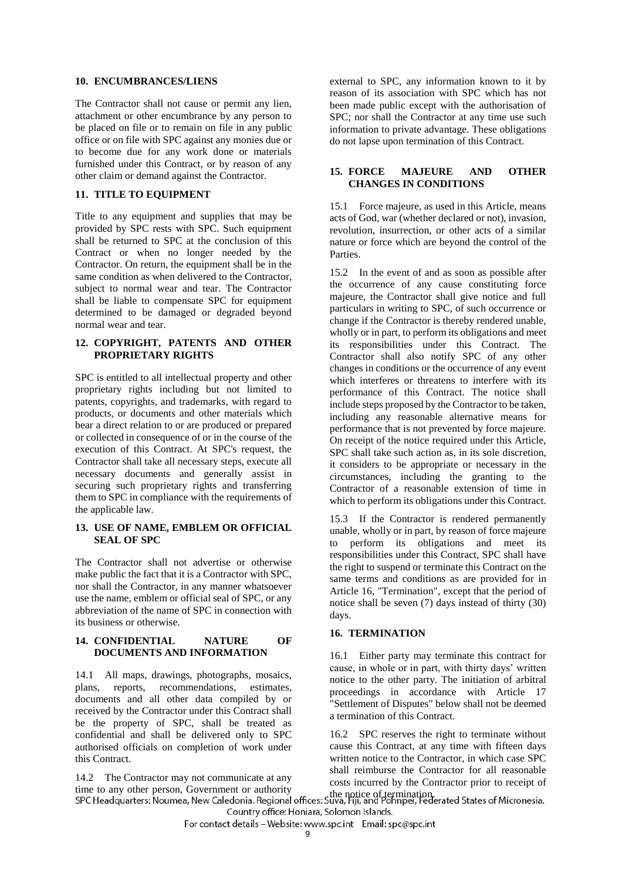#### **10. ENCUMBRANCES/LIENS**

The Contractor shall not cause or permit any lien, attachment or other encumbrance by any person to be placed on file or to remain on file in any public office or on file with SPC against any monies due or to become due for any work done or materials furnished under this Contract, or by reason of any other claim or demand against the Contractor.

### **11. TITLE TO EQUIPMENT**

Title to any equipment and supplies that may be provided by SPC rests with SPC. Such equipment shall be returned to SPC at the conclusion of this Contract or when no longer needed by the Contractor. On return, the equipment shall be in the same condition as when delivered to the Contractor, subject to normal wear and tear. The Contractor shall be liable to compensate SPC for equipment determined to be damaged or degraded beyond normal wear and tear.

#### **12. COPYRIGHT, PATENTS AND OTHER PROPRIETARY RIGHTS**

SPC is entitled to all intellectual property and other proprietary rights including but not limited to patents, copyrights, and trademarks, with regard to products, or documents and other materials which bear a direct relation to or are produced or prepared or collected in consequence of or in the course of the execution of this Contract. At SPC's request, the Contractor shall take all necessary steps, execute all necessary documents and generally assist in securing such proprietary rights and transferring them to SPC in compliance with the requirements of the applicable law.

#### **13. USE OF NAME, EMBLEM OR OFFICIAL SEAL OF SPC**

The Contractor shall not advertise or otherwise make public the fact that it is a Contractor with SPC, nor shall the Contractor, in any manner whatsoever use the name, emblem or official seal of SPC, or any abbreviation of the name of SPC in connection with its business or otherwise.

#### **14. CONFIDENTIAL NATURE OF DOCUMENTS AND INFORMATION**

14.1 All maps, drawings, photographs, mosaics, plans, reports, recommendations, estimates, documents and all other data compiled by or received by the Contractor under this Contract shall be the property of SPC, shall be treated as confidential and shall be delivered only to SPC authorised officials on completion of work under this Contract.

14.2 The Contractor may not communicate at any time to any other person, Government or authority external to SPC, any information known to it by reason of its association with SPC which has not been made public except with the authorisation of SPC; nor shall the Contractor at any time use such information to private advantage. These obligations do not lapse upon termination of this Contract.

#### **15. FORCE MAJEURE AND OTHER CHANGES IN CONDITIONS**

15.1 Force majeure, as used in this Article, means acts of God, war (whether declared or not), invasion, revolution, insurrection, or other acts of a similar nature or force which are beyond the control of the Parties.

15.2 In the event of and as soon as possible after the occurrence of any cause constituting force majeure, the Contractor shall give notice and full particulars in writing to SPC, of such occurrence or change if the Contractor is thereby rendered unable, wholly or in part, to perform its obligations and meet its responsibilities under this Contract. The Contractor shall also notify SPC of any other changes in conditions or the occurrence of any event which interferes or threatens to interfere with its performance of this Contract. The notice shall include steps proposed by the Contractor to be taken, including any reasonable alternative means for performance that is not prevented by force majeure. On receipt of the notice required under this Article, SPC shall take such action as, in its sole discretion, it considers to be appropriate or necessary in the circumstances, including the granting to the Contractor of a reasonable extension of time in which to perform its obligations under this Contract.

15.3 If the Contractor is rendered permanently unable, wholly or in part, by reason of force majeure to perform its obligations and meet its responsibilities under this Contract, SPC shall have the right to suspend or terminate this Contract on the same terms and conditions as are provided for in Article 16, "Termination", except that the period of notice shall be seven (7) days instead of thirty (30) days.

#### **16. TERMINATION**

16.1 Either party may terminate this contract for cause, in whole or in part, with thirty days' written notice to the other party. The initiation of arbitral proceedings in accordance with Article 17 "Settlement of Disputes" below shall not be deemed a termination of this Contract.

16.2 SPC reserves the right to terminate without cause this Contract, at any time with fifteen days written notice to the Contractor, in which case SPC shall reimburse the Contractor for all reasonable costs incurred by the Contractor prior to receipt of

ume to any other person, Government or authority<br>SPC Headquarters: Noumea, New Caledonia. Regional offices: Suva, Hji, and Pohnpei, Federated States of Micronesia. Country office: Honiara, Solomon Islands.

For contact details - Website: www.spc.int Email: spc@spc.int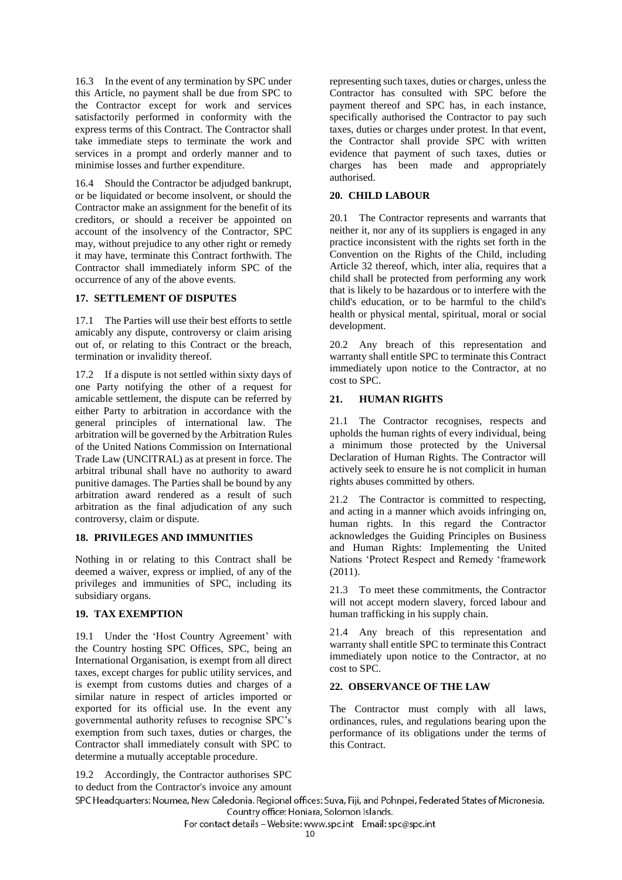16.3 In the event of any termination by SPC under this Article, no payment shall be due from SPC to the Contractor except for work and services satisfactorily performed in conformity with the express terms of this Contract. The Contractor shall take immediate steps to terminate the work and services in a prompt and orderly manner and to minimise losses and further expenditure.

16.4 Should the Contractor be adjudged bankrupt, or be liquidated or become insolvent, or should the Contractor make an assignment for the benefit of its creditors, or should a receiver be appointed on account of the insolvency of the Contractor, SPC may, without prejudice to any other right or remedy it may have, terminate this Contract forthwith. The Contractor shall immediately inform SPC of the occurrence of any of the above events.

### **17. SETTLEMENT OF DISPUTES**

17.1 The Parties will use their best efforts to settle amicably any dispute, controversy or claim arising out of, or relating to this Contract or the breach, termination or invalidity thereof.

17.2 If a dispute is not settled within sixty days of one Party notifying the other of a request for amicable settlement, the dispute can be referred by either Party to arbitration in accordance with the general principles of international law. The arbitration will be governed by the Arbitration Rules of the United Nations Commission on International Trade Law (UNCITRAL) as at present in force. The arbitral tribunal shall have no authority to award punitive damages. The Parties shall be bound by any arbitration award rendered as a result of such arbitration as the final adjudication of any such controversy, claim or dispute.

#### **18. PRIVILEGES AND IMMUNITIES**

Nothing in or relating to this Contract shall be deemed a waiver, express or implied, of any of the privileges and immunities of SPC, including its subsidiary organs.

### **19. TAX EXEMPTION**

19.1 Under the 'Host Country Agreement' with the Country hosting SPC Offices, SPC, being an International Organisation, is exempt from all direct taxes, except charges for public utility services, and is exempt from customs duties and charges of a similar nature in respect of articles imported or exported for its official use. In the event any governmental authority refuses to recognise SPC's exemption from such taxes, duties or charges, the Contractor shall immediately consult with SPC to determine a mutually acceptable procedure.

19.2 Accordingly, the Contractor authorises SPC

representing such taxes, duties or charges, unless the Contractor has consulted with SPC before the payment thereof and SPC has, in each instance, specifically authorised the Contractor to pay such taxes, duties or charges under protest. In that event, the Contractor shall provide SPC with written evidence that payment of such taxes, duties or charges has been made and appropriately authorised.

#### **20. CHILD LABOUR**

20.1 The Contractor represents and warrants that neither it, nor any of its suppliers is engaged in any practice inconsistent with the rights set forth in the Convention on the Rights of the Child, including Article 32 thereof, which, inter alia, requires that a child shall be protected from performing any work that is likely to be hazardous or to interfere with the child's education, or to be harmful to the child's health or physical mental, spiritual, moral or social development.

20.2 Any breach of this representation and warranty shall entitle SPC to terminate this Contract immediately upon notice to the Contractor, at no cost to SPC.

### **21. HUMAN RIGHTS**

21.1 The Contractor recognises, respects and upholds the human rights of every individual, being a minimum those protected by the Universal Declaration of Human Rights. The Contractor will actively seek to ensure he is not complicit in human rights abuses committed by others.

21.2 The Contractor is committed to respecting, and acting in a manner which avoids infringing on, human rights. In this regard the Contractor acknowledges the Guiding Principles on Business and Human Rights: Implementing the United Nations 'Protect Respect and Remedy 'framework (2011).

21.3 To meet these commitments, the Contractor will not accept modern slavery, forced labour and human trafficking in his supply chain.

21.4 Any breach of this representation and warranty shall entitle SPC to terminate this Contract immediately upon notice to the Contractor, at no cost to SPC.

### **22. OBSERVANCE OF THE LAW**

The Contractor must comply with all laws, ordinances, rules, and regulations bearing upon the performance of its obligations under the terms of this Contract.

to deduct from the Contractor's invoice any amount SPC Headquarters: Noumea, New Caledonia. Regional offices: Suva, Fiji, and Pohnpei, Federated States of Micronesia. Country office: Honiara, Solomon Islands.

For contact details - Website: www.spc.int Email: spc@spc.int